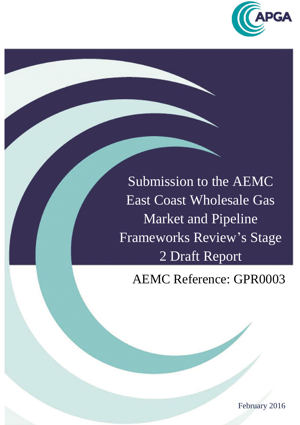

Submission to the AEMC East Coast Wholesale Gas Market and Pipeline Frameworks Review's Stage 2 Draft Report

AEMC Reference: GPR0003

February 2016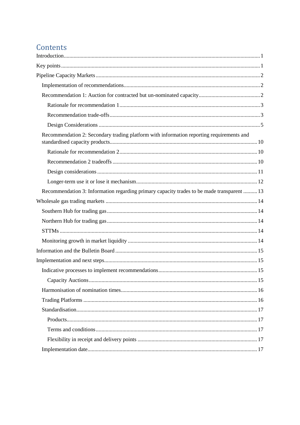# Contents

| Recommendation 2: Secondary trading platform with information reporting requirements and   |
|--------------------------------------------------------------------------------------------|
|                                                                                            |
|                                                                                            |
|                                                                                            |
|                                                                                            |
| Recommendation 3: Information regarding primary capacity trades to be made transparent  13 |
|                                                                                            |
|                                                                                            |
|                                                                                            |
|                                                                                            |
|                                                                                            |
|                                                                                            |
|                                                                                            |
|                                                                                            |
|                                                                                            |
|                                                                                            |
|                                                                                            |
|                                                                                            |
|                                                                                            |
|                                                                                            |
|                                                                                            |
|                                                                                            |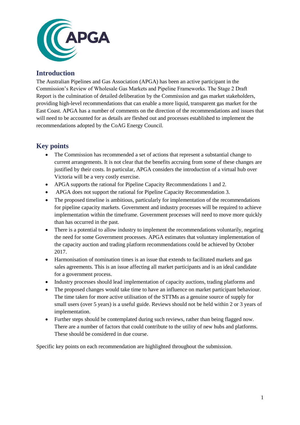

## <span id="page-2-0"></span>**Introduction**

The Australian Pipelines and Gas Association (APGA) has been an active participant in the Commission's Review of Wholesale Gas Markets and Pipeline Frameworks. The Stage 2 Draft Report is the culmination of detailed deliberation by the Commission and gas market stakeholders, providing high-level recommendations that can enable a more liquid, transparent gas market for the East Coast. APGA has a number of comments on the direction of the recommendations and issues that will need to be accounted for as details are fleshed out and processes established to implement the recommendations adopted by the CoAG Energy Council.

## <span id="page-2-1"></span>**Key points**

- The Commission has recommended a set of actions that represent a substantial change to current arrangements. It is not clear that the benefits accruing from some of these changes are justified by their costs. In particular, APGA considers the introduction of a virtual hub over Victoria will be a very costly exercise.
- APGA supports the rational for Pipeline Capacity Recommendations 1 and 2.
- APGA does not support the rational for Pipeline Capacity Recommendation 3.
- The proposed timeline is ambitious, particularly for implementation of the recommendations for pipeline capacity markets. Government and industry processes will be required to achieve implementation within the timeframe. Government processes will need to move more quickly than has occurred in the past.
- There is a potential to allow industry to implement the recommendations voluntarily, negating the need for some Government processes. APGA estimates that voluntary implementation of the capacity auction and trading platform recommendations could be achieved by October 2017.
- Harmonisation of nomination times is an issue that extends to facilitated markets and gas sales agreements. This is an issue affecting all market participants and is an ideal candidate for a government process.
- Industry processes should lead implementation of capacity auctions, trading platforms and
- The proposed changes would take time to have an influence on market participant behaviour. The time taken for more active utilisation of the STTMs as a genuine source of supply for small users (over 5 years) is a useful guide. Reviews should not be held within 2 or 3 years of implementation.
- Further steps should be contemplated during such reviews, rather than being flagged now. There are a number of factors that could contribute to the utility of new hubs and platforms. These should be considered in due course.

Specific key points on each recommendation are highlighted throughout the submission.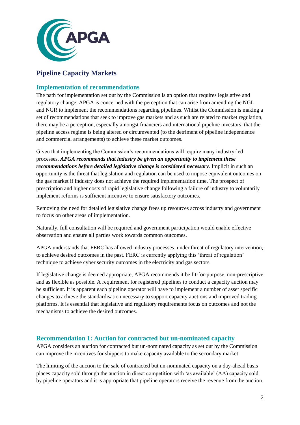

## <span id="page-3-0"></span>**Pipeline Capacity Markets**

## <span id="page-3-1"></span>**Implementation of recommendations**

The path for implementation set out by the Commission is an option that requires legislative and regulatory change. APGA is concerned with the perception that can arise from amending the NGL and NGR to implement the recommendations regarding pipelines. Whilst the Commission is making a set of recommendations that seek to improve gas markets and as such are related to market regulation, there may be a perception, especially amongst financiers and international pipeline investors, that the pipeline access regime is being altered or circumvented (to the detriment of pipeline independence and commercial arrangements) to achieve these market outcomes.

Given that implementing the Commission's recommendations will require many industry-led processes, *APGA recommends that industry be given an opportunity to implement these recommendations before detailed legislative change is considered necessary*. Implicit in such an opportunity is the threat that legislation and regulation can be used to impose equivalent outcomes on the gas market if industry does not achieve the required implementation time. The prospect of prescription and higher costs of rapid legislative change following a failure of industry to voluntarily implement reforms is sufficient incentive to ensure satisfactory outcomes.

Removing the need for detailed legislative change frees up resources across industry and government to focus on other areas of implementation.

Naturally, full consultation will be required and government participation would enable effective observation and ensure all parties work towards common outcomes.

APGA understands that FERC has allowed industry processes, under threat of regulatory intervention, to achieve desired outcomes in the past. FERC is currently applying this 'threat of regulation' technique to achieve cyber security outcomes in the electricity and gas sectors.

If legislative change is deemed appropriate, APGA recommends it be fit-for-purpose, non-prescriptive and as flexible as possible. A requirement for registered pipelines to conduct a capacity auction may be sufficient. It is apparent each pipeline operator will have to implement a number of asset specific changes to achieve the standardisation necessary to support capacity auctions and improved trading platforms. It is essential that legislative and regulatory requirements focus on outcomes and not the mechanisms to achieve the desired outcomes.

## <span id="page-3-2"></span>**Recommendation 1: Auction for contracted but un-nominated capacity**

APGA considers an auction for contracted but un-nominated capacity as set out by the Commission can improve the incentives for shippers to make capacity available to the secondary market.

The limiting of the auction to the sale of contracted but un-nominated capacity on a day-ahead basis places capacity sold through the auction in direct competition with 'as available' (AA) capacity sold by pipeline operators and it is appropriate that pipeline operators receive the revenue from the auction.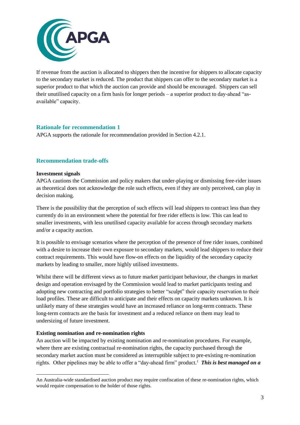

If revenue from the auction is allocated to shippers then the incentive for shippers to allocate capacity to the secondary market is reduced. The product that shippers can offer to the secondary market is a superior product to that which the auction can provide and should be encouraged. Shippers can sell their unutilised capacity on a firm basis for longer periods – a superior product to day-ahead "asavailable" capacity.

## <span id="page-4-0"></span>**Rationale for recommendation 1**

APGA supports the rationale for recommendation provided in Section 4.2.1.

## <span id="page-4-1"></span>**Recommendation trade-offs**

#### **Investment signals**

APGA cautions the Commission and policy makers that under-playing or dismissing free-rider issues as theoretical does not acknowledge the role such effects, even if they are only perceived, can play in decision making.

There is the possibility that the perception of such effects will lead shippers to contract less than they currently do in an environment where the potential for free rider effects is low. This can lead to smaller investments, with less unutilised capacity available for access through secondary markets and/or a capacity auction.

It is possible to envisage scenarios where the perception of the presence of free rider issues, combined with a desire to increase their own exposure to secondary markets, would lead shippers to reduce their contract requirements. This would have flow-on effects on the liquidity of the secondary capacity markets by leading to smaller, more highly utilised investments.

Whilst there will be different views as to future market participant behaviour, the changes in market design and operation envisaged by the Commission would lead to market participants testing and adopting new contracting and portfolio strategies to better "sculpt" their capacity reservation to their load profiles. These are difficult to anticipate and their effects on capacity markets unknown. It is unlikely many of these strategies would have an increased reliance on long-term contracts. These long-term contracts are the basis for investment and a reduced reliance on them may lead to undersizing of future investment.

#### **Existing nomination and re-nomination rights**

An auction will be impacted by existing nomination and re-nomination procedures. For example, where there are existing contractual re-nomination rights, the capacity purchased through the secondary market auction must be considered as interruptible subject to pre-existing re-nomination rights. Other pipelines may be able to offer a "day-ahead firm" product.<sup>1</sup> This is best managed on a

<sup>-</sup>An Australia-wide standardised auction product may require confiscation of these re-nomination rights, which would require compensation to the holder of those rights.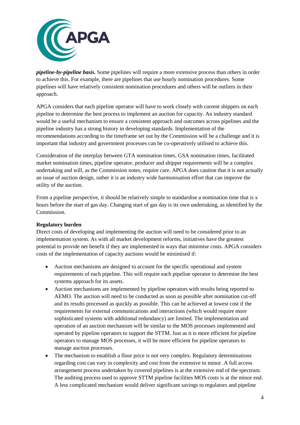

*pipeline-by-pipeline basis.* Some pipelines will require a more extensive process than others in order to achieve this. For example, there are pipelines that use hourly nomination procedures. Some pipelines will have relatively consistent nomination procedures and others will be outliers in their approach.

APGA considers that each pipeline operator will have to work closely with current shippers on each pipeline to determine the best process to implement an auction for capacity. An industry standard would be a useful mechanism to ensure a consistent approach and outcomes across pipelines and the pipeline industry has a strong history in developing standards. Implementation of the recommendations according to the timeframe set out by the Commission will be a challenge and it is important that industry and government processes can be co-operatively utilised to achieve this.

Consideration of the interplay between GTA nomination times, GSA nomination times, facilitated market nomination times, pipeline operator, producer and shipper requirements will be a complex undertaking and will, as the Commission notes, require care. APGA does caution that it is not actually an issue of auction design, rather it is an industry wide harmonisation effort that can improve the utility of the auction.

From a pipeline perspective, it should be relatively simple to standardise a nomination time that is x hours before the start of gas day. Changing start of gas day is its own undertaking, as identified by the Commission.

#### **Regulatory burden**

Direct costs of developing and implementing the auction will need to be considered prior to an implementation system. As with all market development reforms, initiatives have the greatest potential to provide net benefit if they are implemented in ways that minimise costs. APGA considers costs of the implementation of capacity auctions would be minimised if:

- Auction mechanisms are designed to account for the specific operational and system requirements of each pipeline. This will require each pipeline operator to determine the best systems approach for its assets.
- Auction mechanisms are implemented by pipeline operators with results being reported to AEMO. The auction will need to be conducted as soon as possible after nomination cut-off and its results processed as quickly as possible. This can be achieved at lowest cost if the requirements for external communications and interactions (which would require more sophisticated systems with additional redundancy) are limited. The implementation and operation of an auction mechanism will be similar to the MOS processes implemented and operated by pipeline operators to support the STTM. Just as it is more efficient for pipeline operators to manage MOS processes, it will be more efficient for pipeline operators to manage auction processes.
- The mechanism to establish a floor price is not very complex. Regulatory determinations regarding cost can vary in complexity and cost from the extensive to minor .A full access arrangement process undertaken by covered pipelines is at the extensive end of the spectrum. The auditing process used to approve STTM pipeline facilities MOS costs is at the minor end. A less complicated mechanism would deliver significant savings to regulators and pipeline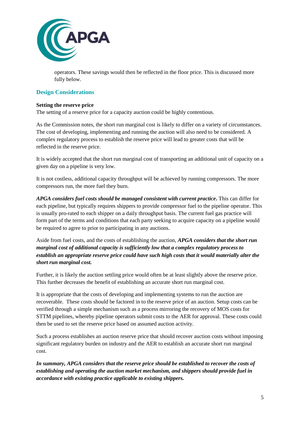

operators. These savings would then be reflected in the floor price. This is discussed more fully below.

## <span id="page-6-0"></span>**Design Considerations**

#### **Setting the reserve price**

The setting of a reserve price for a capacity auction could be highly contentious.

As the Commission notes, the short run marginal cost is likely to differ on a variety of circumstances. The cost of developing, implementing and running the auction will also need to be considered. A complex regulatory process to establish the reserve price will lead to greater costs that will be reflected in the reserve price.

It is widely accepted that the short run marginal cost of transporting an additional unit of capacity on a given day on a pipeline is very low.

It is not costless, additional capacity throughput will be achieved by running compressors. The more compressors run, the more fuel they burn.

*APGA considers fuel costs should be managed consistent with current practice***.** This can differ for each pipeline, but typically requires shippers to provide compressor fuel to the pipeline operator. This is usually pro-rated to each shipper on a daily throughput basis. The current fuel gas practice will form part of the terms and conditions that each party seeking to acquire capacity on a pipeline would be required to agree to prior to participating in any auctions.

Aside from fuel costs, and the costs of establishing the auction, *APGA considers that the short run marginal cost of additional capacity is sufficiently low that a complex regulatory process to establish an appropriate reserve price could have such high costs that it would materially alter the short run marginal cost.* 

Further, it is likely the auction settling price would often be at least slightly above the reserve price. This further decreases the benefit of establishing an accurate short run marginal cost.

It is appropriate that the costs of developing and implementing systems to run the auction are recoverable. These costs should be factored in to the reserve price of an auction. Setup costs can be verified through a simple mechanism such as a process mirroring the recovery of MOS costs for STTM pipelines, whereby pipeline operators submit costs to the AER for approval. These costs could then be used to set the reserve price based on assumed auction activity.

Such a process establishes an auction reserve price that should recover auction costs without imposing significant regulatory burden on industry and the AER to establish an accurate short run marginal cost.

*In summary, APGA considers that the reserve price should be established to recover the costs of establishing and operating the auction market mechanism, and shippers should provide fuel in accordance with existing practice applicable to existing shippers.*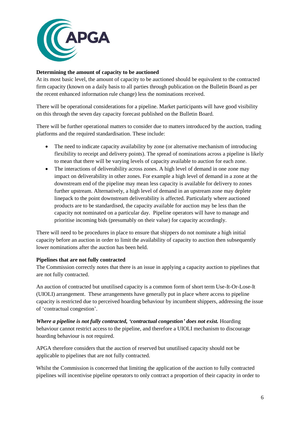

## **Determining the amount of capacity to be auctioned**

At its most basic level, the amount of capacity to be auctioned should be equivalent to the contracted firm capacity (known on a daily basis to all parties through publication on the Bulletin Board as per the recent enhanced information rule change) less the nominations received.

There will be operational considerations for a pipeline. Market participants will have good visibility on this through the seven day capacity forecast published on the Bulletin Board.

There will be further operational matters to consider due to matters introduced by the auction, trading platforms and the required standardisation. These include:

- The need to indicate capacity availability by zone (or alternative mechanism of introducing flexibility to receipt and delivery points). The spread of nominations across a pipeline is likely to mean that there will be varying levels of capacity available to auction for each zone.
- The interactions of deliverability across zones. A high level of demand in one zone may impact on deliverability in other zones. For example a high level of demand in a zone at the downstream end of the pipeline may mean less capacity is available for delivery to zones further upstream. Alternatively, a high level of demand in an upstream zone may deplete linepack to the point downstream deliverability is affected. Particularly where auctioned products are to be standardised, the capacity available for auction may be less than the capacity not nominated on a particular day. Pipeline operators will have to manage and prioritise incoming bids (presumably on their value) for capacity accordingly.

There will need to be procedures in place to ensure that shippers do not nominate a high initial capacity before an auction in order to limit the availability of capacity to auction then subsequently lower nominations after the auction has been held.

#### **Pipelines that are not fully contracted**

The Commission correctly notes that there is an issue in applying a capacity auction to pipelines that are not fully contracted.

An auction of contracted but unutilised capacity is a common form of short term Use-It-Or-Lose-It (UIOLI) arrangement. These arrangements have generally put in place where access to pipeline capacity is restricted due to perceived hoarding behaviour by incumbent shippers, addressing the issue of 'contractual congestion'.

*Where a pipeline is not fully contracted, 'contractual congestion' does not exist.* Hoarding behaviour cannot restrict access to the pipeline, and therefore a UIOLI mechanism to discourage hoarding behaviour is not required.

APGA therefore considers that the auction of reserved but unutilised capacity should not be applicable to pipelines that are not fully contracted.

Whilst the Commission is concerned that limiting the application of the auction to fully contracted pipelines will incentivise pipeline operators to only contract a proportion of their capacity in order to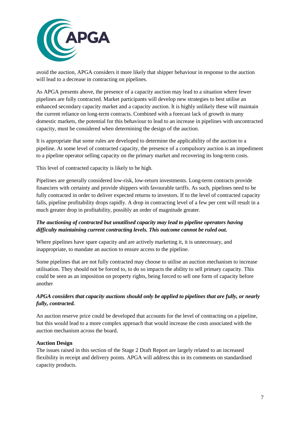

avoid the auction, APGA considers it more likely that shipper behaviour in response to the auction will lead to a decrease in contracting on pipelines.

As APGA presents above, the presence of a capacity auction may lead to a situation where fewer pipelines are fully contracted. Market participants will develop new strategies to best utilise an enhanced secondary capacity market and a capacity auction. It is highly unlikely these will maintain the current reliance on long-term contracts. Combined with a forecast lack of growth in many domestic markets, the potential for this behaviour to lead to an increase in pipelines with uncontracted capacity, must be considered when determining the design of the auction.

It is appropriate that some rules are developed to determine the applicability of the auction to a pipeline. At some level of contracted capacity, the presence of a compulsory auction is an impediment to a pipeline operator selling capacity on the primary market and recovering its long-term costs.

This level of contracted capacity is likely to be high.

Pipelines are generally considered low-risk, low-return investments. Long-term contracts provide financiers with certainty and provide shippers with favourable tariffs. As such, pipelines need to be fully contracted in order to deliver expected returns to investors. If to the level of contracted capacity falls, pipeline profitability drops rapidly. A drop in contracting level of a few per cent will result in a much greater drop in profitability, possibly an order of magnitude greater.

## *The auctioning of contracted but unutilised capacity may lead to pipeline operators having difficulty maintaining current contracting levels. This outcome cannot be ruled out.*

Where pipelines have spare capacity and are actively marketing it, it is unnecessary, and inappropriate, to mandate an auction to ensure access to the pipeline.

Some pipelines that are not fully contracted may choose to utilise an auction mechanism to increase utilisation. They should not be forced to, to do so impacts the ability to sell primary capacity. This could be seen as an imposition on property rights, being forced to sell one form of capacity before another

## *APGA considers that capacity auctions should only be applied to pipelines that are fully, or nearly fully, contracted.*

An auction reserve price could be developed that accounts for the level of contracting on a pipeline, but this would lead to a more complex approach that would increase the costs associated with the auction mechanism across the board.

#### **Auction Design**

The issues raised in this section of the Stage 2 Draft Report are largely related to an increased flexibility in receipt and delivery points. APGA will address this in its comments on standardised capacity products.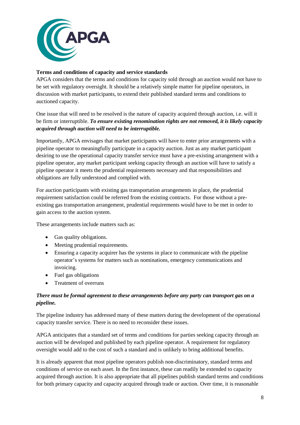

#### **Terms and conditions of capacity and service standards**

APGA considers that the terms and conditions for capacity sold through an auction would not have to be set with regulatory oversight. It should be a relatively simple matter for pipeline operators, in discussion with market participants, to extend their published standard terms and conditions to auctioned capacity.

One issue that will need to be resolved is the nature of capacity acquired through auction, i.e. will it be firm or interruptible. *To ensure existing renomination rights are not removed, it is likely capacity acquired through auction will need to be interruptible.*

Importantly, APGA envisages that market participants will have to enter prior arrangements with a pipeline operator to meaningfully participate in a capacity auction. Just as any market participant desiring to use the operational capacity transfer service must have a pre-existing arrangement with a pipeline operator, any market participant seeking capacity through an auction will have to satisfy a pipeline operator it meets the prudential requirements necessary and that responsibilities and obligations are fully understood and complied with.

For auction participants with existing gas transportation arrangements in place, the prudential requirement satisfaction could be referred from the existing contracts. For those without a preexisting gas transportation arrangement, prudential requirements would have to be met in order to gain access to the auction system.

These arrangements include matters such as:

- Gas quality obligations.
- Meeting prudential requirements.
- Ensuring a capacity acquirer has the systems in place to communicate with the pipeline operator's systems for matters such as nominations, emergency communications and invoicing.
- Fuel gas obligations
- Treatment of overruns

## *There must be formal agreement to these arrangements before any party can transport gas on a pipeline.*

The pipeline industry has addressed many of these matters during the development of the operational capacity transfer service. There is no need to reconsider these issues.

APGA anticipates that a standard set of terms and conditions for parties seeking capacity through an auction will be developed and published by each pipeline operator. A requirement for regulatory oversight would add to the cost of such a standard and is unlikely to bring additional benefits.

It is already apparent that most pipeline operators publish non-discriminatory, standard terms and conditions of service on each asset. In the first instance, these can readily be extended to capacity acquired through auction. It is also appropriate that all pipelines publish standard terms and conditions for both primary capacity and capacity acquired through trade or auction. Over time, it is reasonable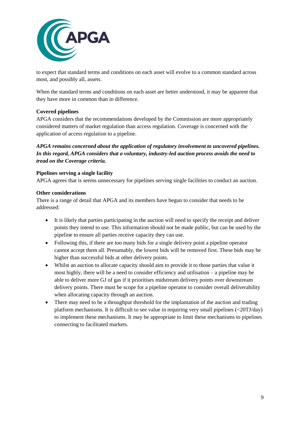

to expect that standard terms and conditions on each asset will evolve to a common standard across most, and possibly all, assets.

When the standard terms and conditions on each asset are better understood, it may be apparent that they have more in common than in difference.

## **Covered pipelines**

APGA considers that the recommendations developed by the Commission are more appropriately considered matters of market regulation than access regulation. Coverage is concerned with the application of access regulation to a pipeline.

*APGA remains concerned about the application of regulatory involvement to uncovered pipelines. In this regard, APGA considers that a voluntary, industry-led auction process avoids the need to tread on the Coverage criteria.*

#### **Pipelines serving a single facility**

APGA agrees that is seems unnecessary for pipelines serving single facilities to conduct an auction.

#### **Other considerations**

There is a range of detail that APGA and its members have begun to consider that needs to be addressed:

- It is likely that parties participating in the auction will need to specify the receipt and deliver points they intend to use. This information should not be made public, but can be used by the pipeline to ensure all parties receive capacity they can use.
- Following this, if there are too many bids for a single delivery point a pipeline operator cannot accept them all. Presumably, the lowest bids will be removed first. These bids may be higher than successful bids at other delivery points.
- Whilst an auction to allocate capacity should aim to provide it to those parties that value it most highly, there will be a need to consider efficiency and utilisation – a pipeline may be able to deliver more GJ of gas if it prioritises midstream delivery points over downstream delivery points. There must be scope for a pipeline operator to consider overall deliverability when allocating capacity through an auction.
- There may need to be a throughput threshold for the implantation of the auction and trading platform mechanisms. It is difficult to see value in requiring very small pipelines (<20TJ/day) to implement these mechanisms. It may be appropriate to limit these mechanisms to pipelines connecting to facilitated markets.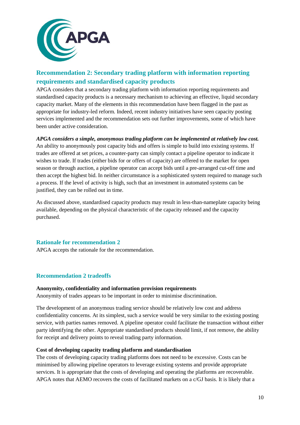

## <span id="page-11-0"></span>**Recommendation 2: Secondary trading platform with information reporting requirements and standardised capacity products**

APGA considers that a secondary trading platform with information reporting requirements and standardised capacity products is a necessary mechanism to achieving an effective, liquid secondary capacity market. Many of the elements in this recommendation have been flagged in the past as appropriate for industry-led reform. Indeed, recent industry initiatives have seen capacity posting services implemented and the recommendation sets out further improvements, some of which have been under active consideration.

## *APGA considers a simple, anonymous trading platform can be implemented at relatively low cost.*

An ability to anonymously post capacity bids and offers is simple to build into existing systems. If trades are offered at set prices, a counter-party can simply contact a pipeline operator to indicate it wishes to trade. If trades (either bids for or offers of capacity) are offered to the market for open season or through auction, a pipeline operator can accept bids until a pre-arranged cut-off time and then accept the highest bid. In neither circumstance is a sophisticated system required to manage such a process. If the level of activity is high, such that an investment in automated systems can be justified, they can be rolled out in time.

As discussed above, standardised capacity products may result in less-than-nameplate capacity being available, depending on the physical characteristic of the capacity released and the capacity purchased.

## <span id="page-11-1"></span>**Rationale for recommendation 2**

APGA accepts the rationale for the recommendation.

## <span id="page-11-2"></span>**Recommendation 2 tradeoffs**

#### **Anonymity, confidentiality and information provision requirements**

Anonymity of trades appears to be important in order to minimise discrimination.

The development of an anonymous trading service should be relatively low cost and address confidentiality concerns. At its simplest, such a service would be very similar to the existing posting service, with parties names removed. A pipeline operator could facilitate the transaction without either party identifying the other. Appropriate standardised products should limit, if not remove, the ability for receipt and delivery points to reveal trading party information.

#### **Cost of developing capacity trading platform and standardisation**

The costs of developing capacity trading platforms does not need to be excessive. Costs can be minimised by allowing pipeline operators to leverage existing systems and provide appropriate services. It is appropriate that the costs of developing and operating the platforms are recoverable. APGA notes that AEMO recovers the costs of facilitated markets on a c/GJ basis. It is likely that a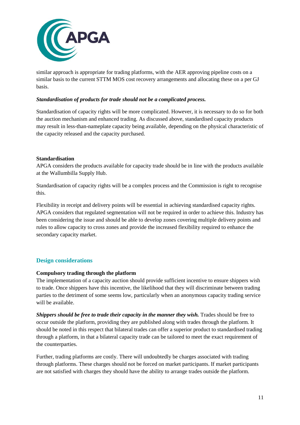

similar approach is appropriate for trading platforms, with the AER approving pipeline costs on a similar basis to the current STTM MOS cost recovery arrangements and allocating these on a per GJ basis.

#### *Standardisation of products for trade should not be a complicated process.*

Standardisation of capacity rights will be more complicated. However, it is necessary to do so for both the auction mechanism and enhanced trading. As discussed above, standardised capacity products may result in less-than-nameplate capacity being available, depending on the physical characteristic of the capacity released and the capacity purchased.

#### **Standardisation**

APGA considers the products available for capacity trade should be in line with the products available at the Wallumbilla Supply Hub.

Standardisation of capacity rights will be a complex process and the Commission is right to recognise this.

Flexibility in receipt and delivery points will be essential in achieving standardised capacity rights. APGA considers that regulated segmentation will not be required in order to achieve this. Industry has been considering the issue and should be able to develop zones covering multiple delivery points and rules to allow capacity to cross zones and provide the increased flexibility required to enhance the secondary capacity market.

## <span id="page-12-0"></span>**Design considerations**

#### **Compulsory trading through the platform**

The implementation of a capacity auction should provide sufficient incentive to ensure shippers wish to trade. Once shippers have this incentive, the likelihood that they will discriminate between trading parties to the detriment of some seems low, particularly when an anonymous capacity trading service will be available.

*Shippers should be free to trade their capacity in the manner they wish.* Trades should be free to occur outside the platform, providing they are published along with trades through the platform. It should be noted in this respect that bilateral trades can offer a superior product to standardised trading through a platform, in that a bilateral capacity trade can be tailored to meet the exact requirement of the counterparties.

Further, trading platforms are costly. There will undoubtedly be charges associated with trading through platforms. These charges should not be forced on market participants. If market participants are not satisfied with charges they should have the ability to arrange trades outside the platform.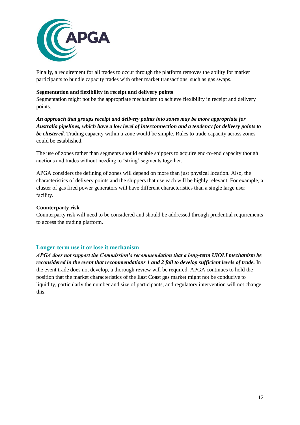

Finally, a requirement for all trades to occur through the platform removes the ability for market participants to bundle capacity trades with other market transactions, such as gas swaps.

#### **Segmentation and flexibility in receipt and delivery points**

Segmentation might not be the appropriate mechanism to achieve flexibility in receipt and delivery points.

*An approach that groups receipt and delivery points into zones may be more appropriate for Australia pipelines, which have a low level of interconnection and a tendency for delivery points to be clustered*. Trading capacity within a zone would be simple. Rules to trade capacity across zones could be established.

The use of zones rather than segments should enable shippers to acquire end-to-end capacity though auctions and trades without needing to 'string' segments together.

APGA considers the defining of zones will depend on more than just physical location. Also, the characteristics of delivery points and the shippers that use each will be highly relevant. For example, a cluster of gas fired power generators will have different characteristics than a single large user facility.

## **Counterparty risk**

Counterparty risk will need to be considered and should be addressed through prudential requirements to access the trading platform.

## <span id="page-13-0"></span>**Longer-term use it or lose it mechanism**

*APGA does not support the Commission's recommendation that a long-term UIOLI mechanism be reconsidered in the event that recommendations 1 and 2 fail to develop sufficient levels of trade.* In the event trade does not develop, a thorough review will be required. APGA continues to hold the position that the market characteristics of the East Coast gas market might not be conducive to liquidity, particularly the number and size of participants, and regulatory intervention will not change this.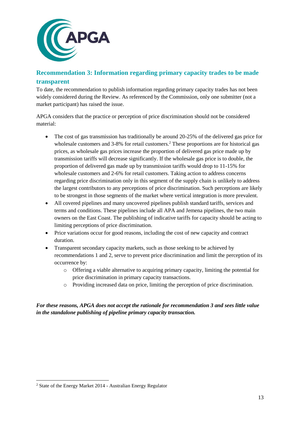

## <span id="page-14-0"></span>**Recommendation 3: Information regarding primary capacity trades to be made transparent**

To date, the recommendation to publish information regarding primary capacity trades has not been widely considered during the Review. As referenced by the Commission, only one submitter (not a market participant) has raised the issue.

APGA considers that the practice or perception of price discrimination should not be considered material:

- The cost of gas transmission has traditionally be around 20-25% of the delivered gas price for wholesale customers and 3-8% for retail customers.<sup>2</sup> These proportions are for historical gas prices, as wholesale gas prices increase the proportion of delivered gas price made up by transmission tariffs will decrease significantly. If the wholesale gas price is to double, the proportion of delivered gas made up by transmission tariffs would drop to 11-15% for wholesale customers and 2-6% for retail customers. Taking action to address concerns regarding price discrimination only in this segment of the supply chain is unlikely to address the largest contributors to any perceptions of price discrimination. Such perceptions are likely to be strongest in those segments of the market where vertical integration is more prevalent.
- All covered pipelines and many uncovered pipelines publish standard tariffs, services and terms and conditions. These pipelines include all APA and Jemena pipelines, the two main owners on the East Coast. The publishing of indicative tariffs for capacity should be acting to limiting perceptions of price discrimination.
- Price variations occur for good reasons, including the cost of new capacity and contract duration.
- Transparent secondary capacity markets, such as those seeking to be achieved by recommendations 1 and 2, serve to prevent price discrimination and limit the perception of its occurrence by:
	- $\circ$  Offering a viable alternative to acquiring primary capacity, limiting the potential for price discrimination in primary capacity transactions.
	- $\circ$  Providing increased data on price, limiting the perception of price discrimination.

## *For these reasons, APGA does not accept the rationale for recommendation 3 and sees little value in the standalone publishing of pipeline primary capacity transaction.*

-

<sup>2</sup> State of the Energy Market 2014 - Australian Energy Regulator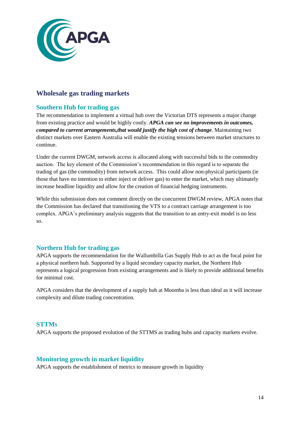

## <span id="page-15-0"></span>**Wholesale gas trading markets**

## <span id="page-15-1"></span>**Southern Hub for trading gas**

The recommendation to implement a virtual hub over the Victorian DTS represents a major change from existing practice and would be highly costly. *APGA can see no improvements in outcomes, compared to current arrangements,that would justify the high cost of change*. Maintaining two distinct markets over Eastern Australia will enable the existing tensions between market structures to continue.

Under the current DWGM, network access is allocated along with successful bids to the commodity auction. The key element of the Commission's recommendation in this regard is to separate the trading of gas (the commodity) from network access. This could allow non-physical participants (ie those that have no intention to either inject or deliver gas) to enter the market, which may ultimately increase headline liquidity and allow for the creation of financial hedging instruments.

While this submission does not comment directly on the concurrent DWGM review, APGA notes that the Commission has declared that transitioning the VTS to a contract carriage arrangement is too complex. APGA's preliminary analysis suggests that the transition to an entry-exit model is no less so.

## <span id="page-15-2"></span>**Northern Hub for trading gas**

APGA supports the recommendation for the Wallumbilla Gas Supply Hub to act as the focal point for a physical northern hub. Supported by a liquid secondary capacity market, the Northern Hub represents a logical progression from existing arrangements and is likely to provide additional benefits for minimal cost.

APGA considers that the development of a supply hub at Moomba is less than ideal as it will increase complexity and dilute trading concentration,

## <span id="page-15-3"></span>**STTMs**

APGA supports the proposed evolution of the STTMS as trading hubs and capacity markets evolve.

## <span id="page-15-4"></span>**Monitoring growth in market liquidity**

APGA supports the establishment of metrics to measure growth in liquidity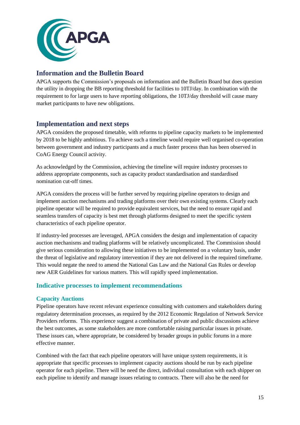

## <span id="page-16-0"></span>**Information and the Bulletin Board**

APGA supports the Commission's proposals on information and the Bulletin Board but does question the utility in dropping the BB reporting threshold for facilities to 10TJ/day. In combination with the requirement to for large users to have reporting obligations, the 10TJ/day threshold will cause many market participants to have new obligations.

## <span id="page-16-1"></span>**Implementation and next steps**

APGA considers the proposed timetable, with reforms to pipeline capacity markets to be implemented by 2018 to be highly ambitious. To achieve such a timeline would require well organised co-operation between government and industry participants and a much faster process than has been observed in CoAG Energy Council activity.

As acknowledged by the Commission, achieving the timeline will require industry processes to address appropriate components, such as capacity product standardisation and standardised nomination cut-off times.

APGA considers the process will be further served by requiring pipeline operators to design and implement auction mechanisms and trading platforms over their own existing systems. Clearly each pipeline operator will be required to provide equivalent services, but the need to ensure rapid and seamless transfers of capacity is best met through platforms designed to meet the specific system characteristics of each pipeline operator.

If industry-led processes are leveraged, APGA considers the design and implementation of capacity auction mechanisms and trading platforms will be relatively uncomplicated. The Commission should give serious consideration to allowing these initiatives to be implemented on a voluntary basis, under the threat of legislative and regulatory intervention if they are not delivered in the required timeframe. This would negate the need to amend the National Gas Law and the National Gas Rules or develop new AER Guidelines for various matters. This will rapidly speed implementation.

## <span id="page-16-2"></span>**Indicative processes to implement recommendations**

## <span id="page-16-3"></span>**Capacity Auctions**

Pipeline operators have recent relevant experience consulting with customers and stakeholders during regulatory determination processes, as required by the 2012 Economic Regulation of Network Service Providers reforms. This experience suggest a combination of private and public discussions achieve the best outcomes, as some stakeholders are more comfortable raising particular issues in private. These issues can, where appropriate, be considered by broader groups in public forums in a more effective manner.

Combined with the fact that each pipeline operators will have unique system requirements, it is appropriate that specific processes to implement capacity auctions should be run by each pipeline operator for each pipeline. There will be need the direct, individual consultation with each shipper on each pipeline to identify and manage issues relating to contracts. There will also be the need for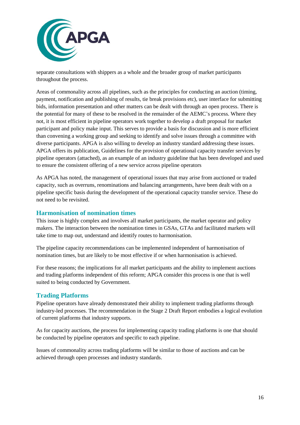

separate consultations with shippers as a whole and the broader group of market participants throughout the process.

Areas of commonality across all pipelines, such as the principles for conducting an auction (timing, payment, notification and publishing of results, tie break provisions etc), user interface for submitting bids, information presentation and other matters can be dealt with through an open process. There is the potential for many of these to be resolved in the remainder of the AEMC's process. Where they not, it is most efficient in pipeline operators work together to develop a draft proposal for market participant and policy make input. This serves to provide a basis for discussion and is more efficient than convening a working group and seeking to identify and solve issues through a committee with diverse participants. APGA is also willing to develop an industry standard addressing these issues. APGA offers its publication, Guidelines for the provision of operational capacity transfer services by pipeline operators (attached), as an example of an industry guideline that has been developed and used to ensure the consistent offering of a new service across pipeline operators

As APGA has noted, the management of operational issues that may arise from auctioned or traded capacity, such as overruns, renominations and balancing arrangements, have been dealt with on a pipeline specific basis during the development of the operational capacity transfer service. These do not need to be revisited.

## <span id="page-17-0"></span>**Harmonisation of nomination times**

This issue is highly complex and involves all market participants, the market operator and policy makers. The interaction between the nomination times in GSAs, GTAs and facilitated markets will take time to map out, understand and identify routes to harmonisation.

The pipeline capacity recommendations can be implemented independent of harmonisation of nomination times, but are likely to be most effective if or when harmonisation is achieved.

For these reasons; the implications for all market participants and the ability to implement auctions and trading platforms independent of this reform; APGA consider this process is one that is well suited to being conducted by Government.

#### <span id="page-17-1"></span>**Trading Platforms**

Pipeline operators have already demonstrated their ability to implement trading platforms through industry-led processes. The recommendation in the Stage 2 Draft Report embodies a logical evolution of current platforms that industry supports.

As for capacity auctions, the process for implementing capacity trading platforms is one that should be conducted by pipeline operators and specific to each pipeline.

Issues of commonality across trading platforms will be similar to those of auctions and can be achieved through open processes and industry standards.